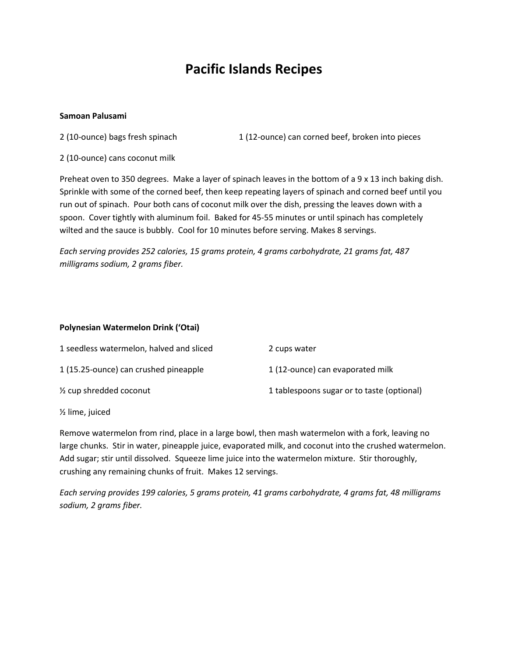# **Pacific Islands Recipes**

### **Samoan Palusami**

2 (10-ounce) bags fresh spinach 1 (12-ounce) can corned beef, broken into pieces

2 (10-ounce) cans coconut milk

Preheat oven to 350 degrees. Make a layer of spinach leaves in the bottom of a 9 x 13 inch baking dish. Sprinkle with some of the corned beef, then keep repeating layers of spinach and corned beef until you run out of spinach. Pour both cans of coconut milk over the dish, pressing the leaves down with a spoon. Cover tightly with aluminum foil. Baked for 45-55 minutes or until spinach has completely wilted and the sauce is bubbly. Cool for 10 minutes before serving. Makes 8 servings.

*Each serving provides 252 calories, 15 grams protein, 4 grams carbohydrate, 21 grams fat, 487 milligrams sodium, 2 grams fiber.*

# **Polynesian Watermelon Drink ('Otai)**

| 1 seedless watermelon, halved and sliced | 2 cups water                               |
|------------------------------------------|--------------------------------------------|
| 1 (15.25-ounce) can crushed pineapple    | 1 (12-ounce) can evaporated milk           |
| 1/ <sub>2</sub> cup shredded coconut     | 1 tablespoons sugar or to taste (optional) |

½ lime, juiced

Remove watermelon from rind, place in a large bowl, then mash watermelon with a fork, leaving no large chunks. Stir in water, pineapple juice, evaporated milk, and coconut into the crushed watermelon. Add sugar; stir until dissolved. Squeeze lime juice into the watermelon mixture. Stir thoroughly, crushing any remaining chunks of fruit. Makes 12 servings.

*Each serving provides 199 calories, 5 grams protein, 41 grams carbohydrate, 4 grams fat, 48 milligrams sodium, 2 grams fiber.*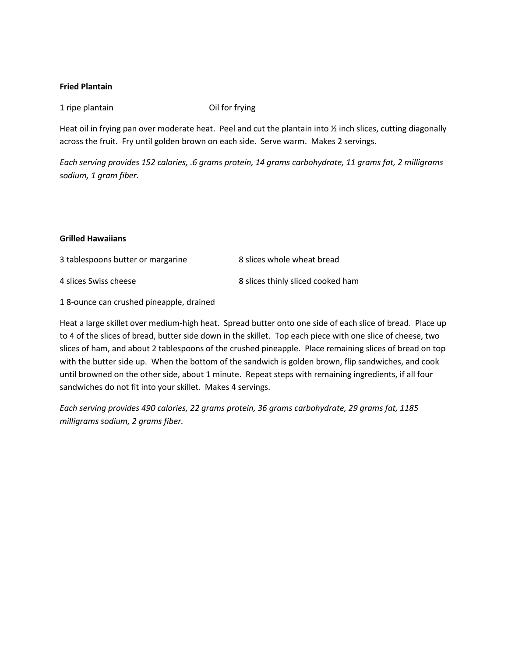### **Fried Plantain**

1 ripe plantain Oil for frying

Heat oil in frying pan over moderate heat. Peel and cut the plantain into  $\frac{1}{2}$  inch slices, cutting diagonally across the fruit. Fry until golden brown on each side. Serve warm. Makes 2 servings.

*Each serving provides 152 calories, .6 grams protein, 14 grams carbohydrate, 11 grams fat, 2 milligrams sodium, 1 gram fiber.*

### **Grilled Hawaiians**

3 tablespoons butter or margarine 8 slices whole wheat bread 4 slices Swiss cheese 8 slices thinly sliced cooked ham

1 8-ounce can crushed pineapple, drained

Heat a large skillet over medium-high heat. Spread butter onto one side of each slice of bread. Place up to 4 of the slices of bread, butter side down in the skillet. Top each piece with one slice of cheese, two slices of ham, and about 2 tablespoons of the crushed pineapple. Place remaining slices of bread on top with the butter side up. When the bottom of the sandwich is golden brown, flip sandwiches, and cook until browned on the other side, about 1 minute. Repeat steps with remaining ingredients, if all four sandwiches do not fit into your skillet. Makes 4 servings.

*Each serving provides 490 calories, 22 grams protein, 36 grams carbohydrate, 29 grams fat, 1185 milligrams sodium, 2 grams fiber.*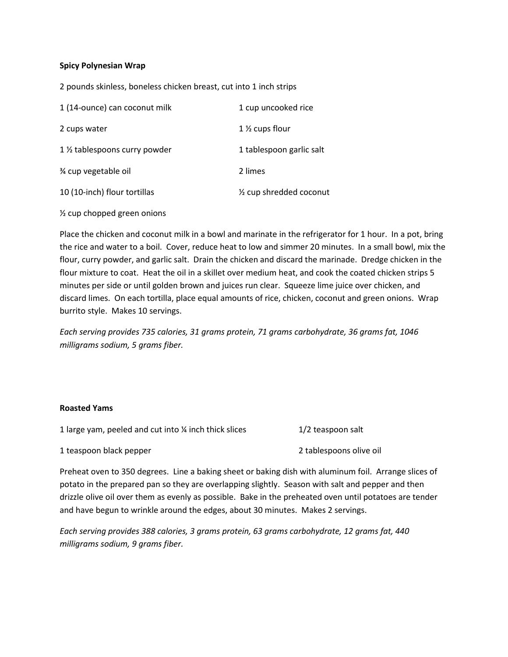### **Spicy Polynesian Wrap**

2 pounds skinless, boneless chicken breast, cut into 1 inch strips

| 1 (14-ounce) can coconut milk  | 1 cup uncooked rice                |
|--------------------------------|------------------------------------|
| 2 cups water                   | 1 $\frac{1}{2}$ cups flour         |
| 1 1/2 tablespoons curry powder | 1 tablespoon garlic salt           |
| % cup vegetable oil            | 2 limes                            |
| 10 (10-inch) flour tortillas   | $\frac{1}{2}$ cup shredded coconut |

½ cup chopped green onions

Place the chicken and coconut milk in a bowl and marinate in the refrigerator for 1 hour. In a pot, bring the rice and water to a boil. Cover, reduce heat to low and simmer 20 minutes. In a small bowl, mix the flour, curry powder, and garlic salt. Drain the chicken and discard the marinade. Dredge chicken in the flour mixture to coat. Heat the oil in a skillet over medium heat, and cook the coated chicken strips 5 minutes per side or until golden brown and juices run clear. Squeeze lime juice over chicken, and discard limes. On each tortilla, place equal amounts of rice, chicken, coconut and green onions. Wrap burrito style. Makes 10 servings.

*Each serving provides 735 calories, 31 grams protein, 71 grams carbohydrate, 36 grams fat, 1046 milligrams sodium, 5 grams fiber.*

#### **Roasted Yams**

| 1 large yam, peeled and cut into % inch thick slices | 1/2 teaspoon salt |
|------------------------------------------------------|-------------------|
|------------------------------------------------------|-------------------|

1 teaspoon black pepper 2 tablespoons olive oil

Preheat oven to 350 degrees. Line a baking sheet or baking dish with aluminum foil. Arrange slices of potato in the prepared pan so they are overlapping slightly. Season with salt and pepper and then drizzle olive oil over them as evenly as possible. Bake in the preheated oven until potatoes are tender and have begun to wrinkle around the edges, about 30 minutes. Makes 2 servings.

*Each serving provides 388 calories, 3 grams protein, 63 grams carbohydrate, 12 grams fat, 440 milligrams sodium, 9 grams fiber.*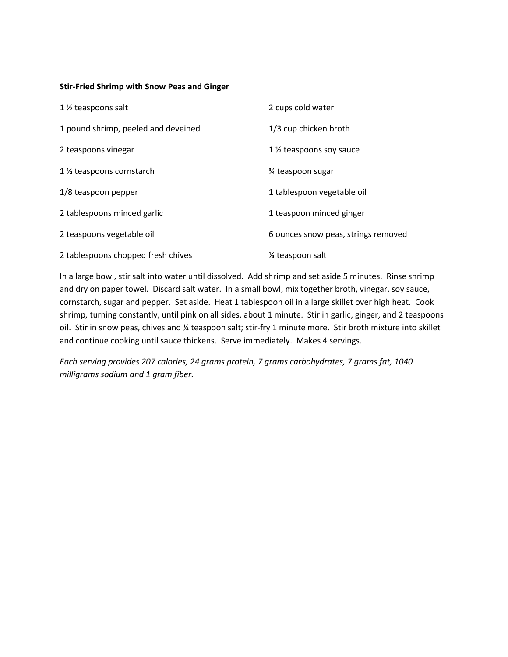### **Stir-Fried Shrimp with Snow Peas and Ginger**

| 1 1/2 teaspoons salt                | 2 cups cold water                     |
|-------------------------------------|---------------------------------------|
| 1 pound shrimp, peeled and deveined | 1/3 cup chicken broth                 |
| 2 teaspoons vinegar                 | 1 1/ <sub>2</sub> teaspoons soy sauce |
| 1 ½ teaspoons cornstarch            | % teaspoon sugar                      |
| 1/8 teaspoon pepper                 | 1 tablespoon vegetable oil            |
| 2 tablespoons minced garlic         | 1 teaspoon minced ginger              |
| 2 teaspoons vegetable oil           | 6 ounces snow peas, strings removed   |
| 2 tablespoons chopped fresh chives  | 1/4 teaspoon salt                     |

In a large bowl, stir salt into water until dissolved. Add shrimp and set aside 5 minutes. Rinse shrimp and dry on paper towel. Discard salt water. In a small bowl, mix together broth, vinegar, soy sauce, cornstarch, sugar and pepper. Set aside. Heat 1 tablespoon oil in a large skillet over high heat. Cook shrimp, turning constantly, until pink on all sides, about 1 minute. Stir in garlic, ginger, and 2 teaspoons oil. Stir in snow peas, chives and % teaspoon salt; stir-fry 1 minute more. Stir broth mixture into skillet and continue cooking until sauce thickens. Serve immediately. Makes 4 servings.

*Each serving provides 207 calories, 24 grams protein, 7 grams carbohydrates, 7 grams fat, 1040 milligrams sodium and 1 gram fiber.*